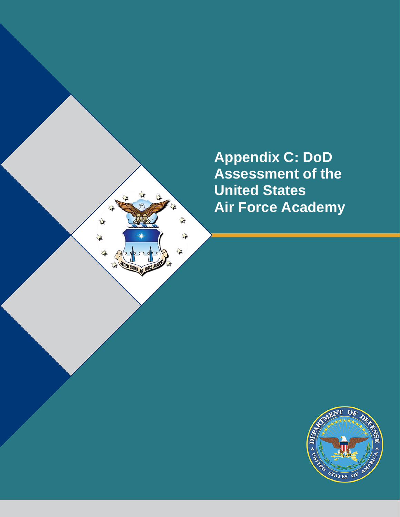**Appendix C: DoD Assessment of the United States Air Force Academy**

X,

 $\mathbf{r}$ 

注

溢

 $\vec{x}$ 

≱

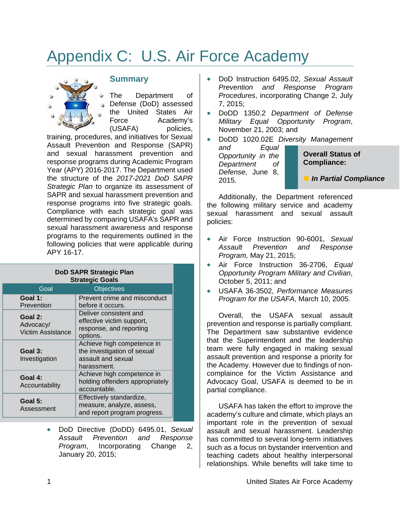# Appendix C: U.S. Air Force Academy



## **Summary**

The Department of Defense (DoD) assessed the United States Air Force Academy's (USAFA) policies,

training, procedures, and initiatives for Sexual Assault Prevention and Response (SAPR) and sexual harassment prevention and response programs during Academic Program Year (APY) 2016-2017. The Department used the structure of the *2017-2021 DoD SAPR Strategic Plan* to organize its assessment of SAPR and sexual harassment prevention and response programs into five strategic goals. Compliance with each strategic goal was determined by comparing USAFA's SAPR and sexual harassment awareness and response programs to the requirements outlined in the following policies that were applicable during APY 16-17.

| DoD SAPR Strategic Plan<br><b>Strategic Goals</b> |                                                                                                |
|---------------------------------------------------|------------------------------------------------------------------------------------------------|
| Goal                                              | <b>Objectives</b>                                                                              |
| Goal 1:<br>Prevention                             | Prevent crime and misconduct<br>before it occurs.                                              |
| Goal 2:<br>Advocacy/<br>Victim Assistance         | Deliver consistent and<br>effective victim support,<br>response, and reporting<br>options.     |
| Goal 3:<br>Investigation                          | Achieve high competence in<br>the investigation of sexual<br>assault and sexual<br>harassment. |
| Goal 4:<br>Accountability                         | Achieve high competence in<br>holding offenders appropriately<br>accountable.                  |
| Goal 5:<br>Assessment                             | Effectively standardize,<br>measure, analyze, assess,<br>and report program progress.          |

• DoD Directive (DoDD) 6495.01, *Sexual Assault Prevention and Response Program*, Incorporating Change 2, January 20, 2015;

- DoD Instruction 6495.02, *Sexual Assault Prevention and Response Program Procedures*, incorporating Change 2, July 7, 2015;
- DoDD 1350.2 *Department of Defense Military Equal Opportunity Program*, November 21, 2003; and

• DoDD 1020.02E *Diversity Management*  Equal

*Opportunity in the Department of Defense*, June 8, 2015.

**Overall Status of Compliance:**

*In Partial Compliance* 

Additionally, the Department referenced the following military service and academy sexual harassment and sexual assault policies:

- Air Force Instruction 90-6001, *Sexual Assault Prevention and Response Program,* May 21, 2015;
- Air Force Instruction 36-2706, *Equal Opportunity Program Military and Civilian*, October 5, 2011; and
- USAFA 36-3502, *Performance Measures Program for the USAFA*, March 10, 2005.

Overall, the USAFA sexual assault prevention and response is partially compliant. The Department saw substantive evidence that the Superintendent and the leadership team were fully engaged in making sexual assault prevention and response a priority for the Academy. However due to findings of noncomplaince for the Victim Assistance and Advocacy Goal, USAFA is deemed to be in partial compliance.

USAFA has taken the effort to improve the academy's culture and climate, which plays an important role in the prevention of sexual assault and sexual harassment. Leadership has committed to several long-term initiatives such as a focus on bystander intervention and teaching cadets about healthy interpersonal relationships. While benefits will take time to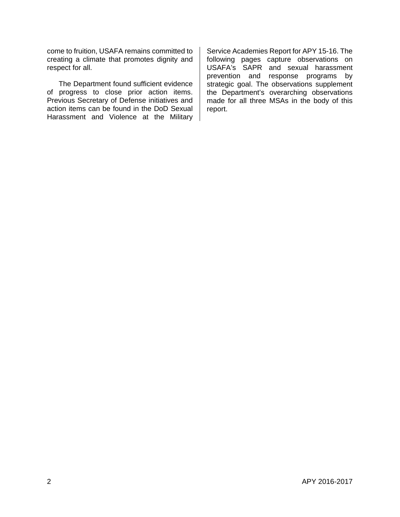come to fruition, USAFA remains committed to creating a climate that promotes dignity and respect for all.

The Department found sufficient evidence of progress to close prior action items. Previous Secretary of Defense initiatives and action items can be found in the DoD Sexual Harassment and Violence at the Military Service Academies Report for APY 15-16. The following pages capture observations on USAFA's SAPR and sexual harassment prevention and response programs by strategic goal. The observations supplement the Department's overarching observations made for all three MSAs in the body of this report.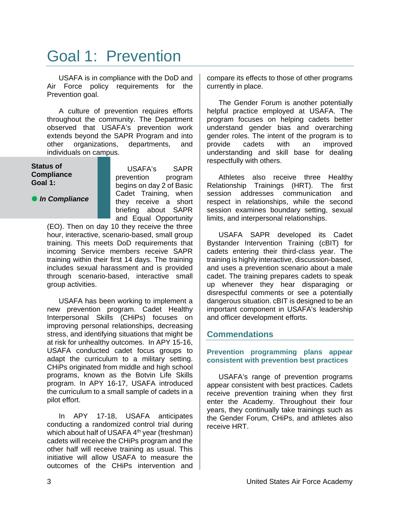# Goal 1: Prevention

USAFA is in compliance with the DoD and Air Force policy requirements for the Prevention goal.

A culture of prevention requires efforts throughout the community. The Department observed that USAFA's prevention work extends beyond the SAPR Program and into other organizations, departments, and individuals on campus.

**Status of Compliance Goal 1:**

**•** In Compliance

USAFA's SAPR prevention program begins on day 2 of Basic Cadet Training, when they receive a short briefing about SAPR and Equal Opportunity

(EO). Then on day 10 they receive the three hour, interactive, scenario-based, small group training. This meets DoD requirements that incoming Service members receive SAPR training within their first 14 days. The training includes sexual harassment and is provided through scenario-based, interactive small group activities.

USAFA has been working to implement a new prevention program. Cadet Healthy Interpersonal Skills (CHiPs) focuses on improving personal relationships, decreasing stress, and identifying situations that might be at risk for unhealthy outcomes. In APY 15-16, USAFA conducted cadet focus groups to adapt the curriculum to a military setting. CHiPs originated from middle and high school programs, known as the Botvin Life Skills program. In APY 16-17, USAFA introduced the curriculum to a small sample of cadets in a pilot effort.

In APY 17-18, USAFA anticipates conducting a randomized control trial during which about half of USAFA 4<sup>th</sup> year (freshman) cadets will receive the CHiPs program and the other half will receive training as usual. This initiative will allow USAFA to measure the outcomes of the CHiPs intervention and

compare its effects to those of other programs currently in place.

The Gender Forum is another potentially helpful practice employed at USAFA. The program focuses on helping cadets better understand gender bias and overarching gender roles. The intent of the program is to provide cadets with an improved understanding and skill base for dealing respectfully with others.

Athletes also receive three Healthy Relationship Trainings (HRT). The first session addresses communication and respect in relationships, while the second session examines boundary setting, sexual limits, and interpersonal relationships.

USAFA SAPR developed its Cadet Bystander Intervention Training (cBIT) for cadets entering their third-class year. The training is highly interactive, discussion-based, and uses a prevention scenario about a male cadet. The training prepares cadets to speak up whenever they hear disparaging or disrespectful comments or see a potentially dangerous situation. cBIT is designed to be an important component in USAFA's leadership and officer development efforts.

## **Commendations**

**Prevention programming plans appear consistent with prevention best practices**

USAFA's range of prevention programs appear consistent with best practices. Cadets receive prevention training when they first enter the Academy. Throughout their four years, they continually take trainings such as the Gender Forum, CHiPs, and athletes also receive HRT.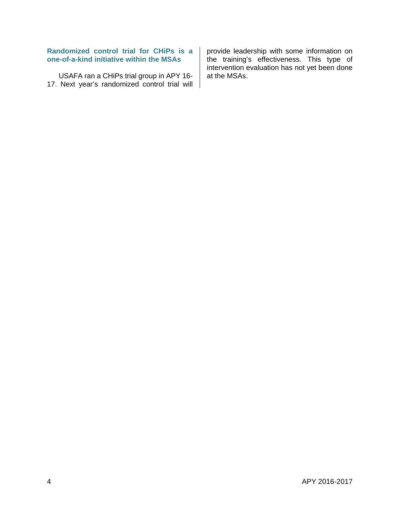## **Randomized control trial for CHiPs is a one-of-a-kind initiative within the MSAs**

USAFA ran a CHiPs trial group in APY 16- 17. Next year's randomized control trial will provide leadership with some information on the training's effectiveness. This type of intervention evaluation has not yet been done at the MSAs.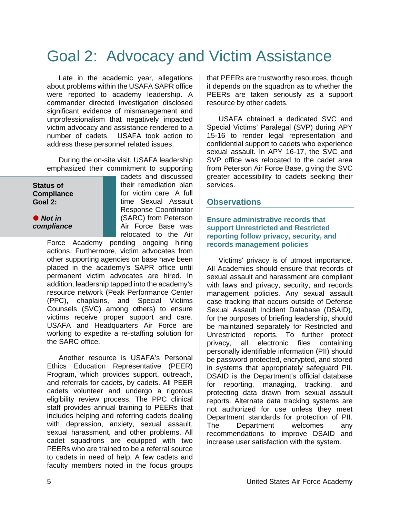# Goal 2: Advocacy and Victim Assistance

Late in the academic year, allegations about problems within the USAFA SAPR office were reported to academy leadership. A commander directed investigation disclosed significant evidence of mismanagement and unprofessionalism that negatively impacted victim advocacy and assistance rendered to a number of cadets. USAFA took action to address these personnel related issues.

During the on-site visit, USAFA leadership emphasized their commitment to supporting

## **Status of Compliance Goal 2:**

 *Not in compliance* cadets and discussed their remediation plan for victim care. A full time Sexual Assault Response Coordinator (SARC) from Peterson Air Force Base was relocated to the Air

Force Academy pending ongoing hiring actions. Furthermore, victim advocates from other supporting agencies on base have been placed in the academy's SAPR office until permanent victim advocates are hired. In addition, leadership tapped into the academy's resource network (Peak Performance Center (PPC), chaplains, and Special Victims Counsels (SVC) among others) to ensure victims receive proper support and care. USAFA and Headquarters Air Force are working to expedite a re-staffing solution for the SARC office.

Another resource is USAFA's Personal Ethics Education Representative (PEER) Program, which provides support, outreach, and referrals for cadets, by cadets. All PEER cadets volunteer and undergo a rigorous eligibility review process. The PPC clinical staff provides annual training to PEERs that includes helping and referring cadets dealing with depression, anxiety, sexual assault, sexual harassment, and other problems. All cadet squadrons are equipped with two PEERs who are trained to be a referral source to cadets in need of help. A few cadets and faculty members noted in the focus groups

that PEERs are trustworthy resources, though it depends on the squadron as to whether the PEERs are taken seriously as a support resource by other cadets.

USAFA obtained a dedicated SVC and Special Victims' Paralegal (SVP) during APY 15-16 to render legal representation and confidential support to cadets who experience sexual assault. In APY 16-17, the SVC and SVP office was relocated to the cadet area from Peterson Air Force Base, giving the SVC greater accessibility to cadets seeking their services.

## **Observations**

### **Ensure administrative records that support Unrestricted and Restricted reporting follow privacy, security, and records management policies**

Victims' privacy is of utmost importance. All Academies should ensure that records of sexual assault and harassment are compliant with laws and privacy, security, and records management policies. Any sexual assault case tracking that occurs outside of Defense Sexual Assault Incident Database (DSAID), for the purposes of briefing leadership, should be maintained separately for Restricted and Unrestricted reports. To further protect privacy, all electronic files containing personally identifiable information (PII) should be password protected, encrypted, and stored in systems that appropriately safeguard PII. DSAID is the Department's official database for reporting, managing, tracking, and protecting data drawn from sexual assault reports. Alternate data tracking systems are not authorized for use unless they meet Department standards for protection of PII. The Department welcomes any recommendations to improve DSAID and increase user satisfaction with the system.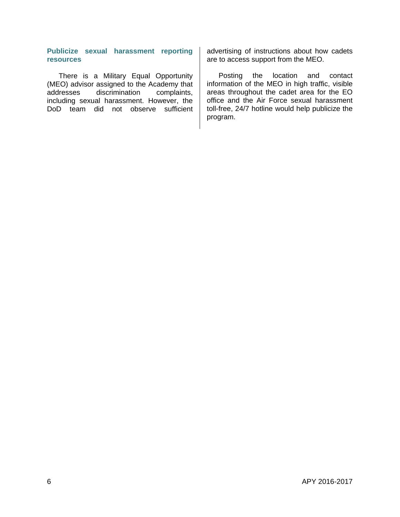### **Publicize sexual harassment reporting resources**

There is a Military Equal Opportunity (MEO) advisor assigned to the Academy that addresses discrimination complaints, including sexual harassment. However, the DoD team did not observe sufficient

advertising of instructions about how cadets are to access support from the MEO.

Posting the location and contact information of the MEO in high traffic, visible areas throughout the cadet area for the EO office and the Air Force sexual harassment toll-free, 24/7 hotline would help publicize the program.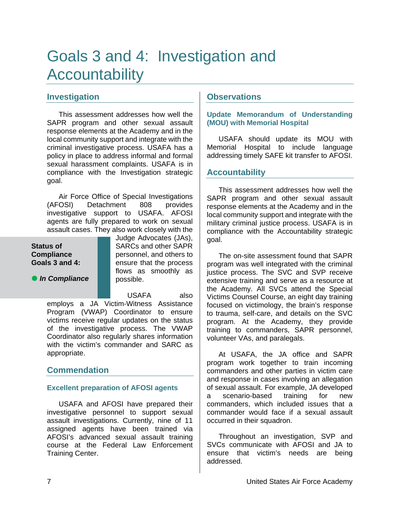# Goals 3 and 4: Investigation and **Accountability**

## **Investigation**

This assessment addresses how well the SAPR program and other sexual assault response elements at the Academy and in the local community support and integrate with the criminal investigative process. USAFA has a policy in place to address informal and formal sexual harassment complaints. USAFA is in compliance with the Investigation strategic goal.

Air Force Office of Special Investigations (AFOSI) Detachment 808 provides investigative support to USAFA. AFOSI agents are fully prepared to work on sexual assault cases. They also work closely with the

### **Status of Compliance Goals 3 and 4:**

**•** In Compliance

Judge Advocates (JAs), SARCs and other SAPR personnel, and others to ensure that the process flows as smoothly as possible.

USAFA also

employs a JA Victim-Witness Assistance Program (VWAP) Coordinator to ensure victims receive regular updates on the status of the investigative process. The VWAP Coordinator also regularly shares information with the victim's commander and SARC as appropriate.

# **Commendation**

## **Excellent preparation of AFOSI agents**

USAFA and AFOSI have prepared their investigative personnel to support sexual assault investigations. Currently, nine of 11 assigned agents have been trained via AFOSI's advanced sexual assault training course at the Federal Law Enforcement Training Center.

## **Observations**

## **Update Memorandum of Understanding (MOU) with Memorial Hospital**

USAFA should update its MOU with Memorial Hospital to include language addressing timely SAFE kit transfer to AFOSI.

## **Accountability**

This assessment addresses how well the SAPR program and other sexual assault response elements at the Academy and in the local community support and integrate with the military criminal justice process. USAFA is in compliance with the Accountability strategic goal.

The on-site assessment found that SAPR program was well integrated with the criminal justice process. The SVC and SVP receive extensive training and serve as a resource at the Academy. All SVCs attend the Special Victims Counsel Course, an eight day training focused on victimology, the brain's response to trauma, self-care, and details on the SVC program. At the Academy, they provide training to commanders, SAPR personnel, volunteer VAs, and paralegals.

At USAFA, the JA office and SAPR program work together to train incoming commanders and other parties in victim care and response in cases involving an allegation of sexual assault. For example, JA developed a scenario-based training for new commanders, which included issues that a commander would face if a sexual assault occurred in their squadron.

Throughout an investigation, SVP and SVCs communicate with AFOSI and JA to ensure that victim's needs are being addressed.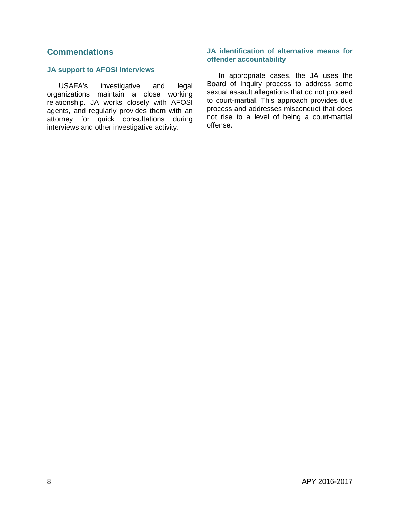## **Commendations**

### **JA support to AFOSI Interviews**

USAFA's investigative and legal organizations maintain a close working relationship. JA works closely with AFOSI agents, and regularly provides them with an attorney for quick consultations during interviews and other investigative activity.

### **JA identification of alternative means for offender accountability**

In appropriate cases, the JA uses the Board of Inquiry process to address some sexual assault allegations that do not proceed to court-martial. This approach provides due process and addresses misconduct that does not rise to a level of being a court-martial offense.